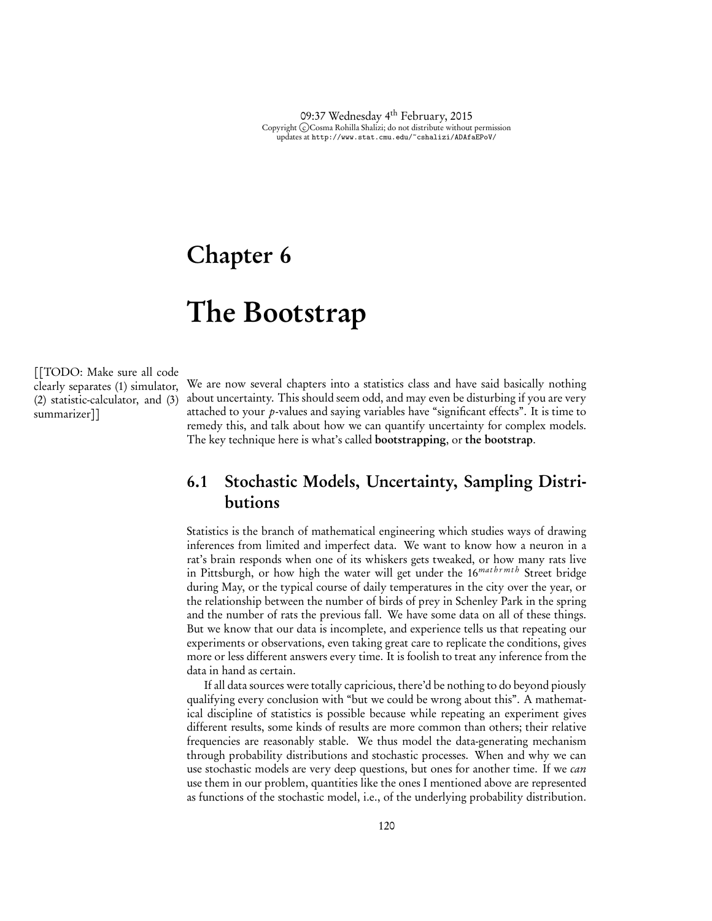## Chapter 6

# The Bootstrap

[[TODO: Make sure all code clearly separates (1) simulator, (2) statistic-calculator, and (3) summarizer]]

We are now several chapters into a statistics class and have said basically nothing about uncertainty. This should seem odd, and may even be disturbing if you are very attached to your *p*-values and saying variables have "significant effects". It is time to remedy this, and talk about how we can quantify uncertainty for complex models. The key technique here is what's called bootstrapping, or the bootstrap.

## 6.1 Stochastic Models, Uncertainty, Sampling Distributions

Statistics is the branch of mathematical engineering which studies ways of drawing inferences from limited and imperfect data. We want to know how a neuron in a rat's brain responds when one of its whiskers gets tweaked, or how many rats live in Pittsburgh, or how high the water will get under the 16<sup>mathrmth</sup> Street bridge during May, or the typical course of daily temperatures in the city over the year, or the relationship between the number of birds of prey in Schenley Park in the spring and the number of rats the previous fall. We have some data on all of these things. But we know that our data is incomplete, and experience tells us that repeating our experiments or observations, even taking great care to replicate the conditions, gives more or less different answers every time. It is foolish to treat any inference from the data in hand as certain.

If all data sources were totally capricious, there'd be nothing to do beyond piously qualifying every conclusion with "but we could be wrong about this". A mathematical discipline of statistics is possible because while repeating an experiment gives different results, some kinds of results are more common than others; their relative frequencies are reasonably stable. We thus model the data-generating mechanism through probability distributions and stochastic processes. When and why we can use stochastic models are very deep questions, but ones for another time. If we *can* use them in our problem, quantities like the ones I mentioned above are represented as functions of the stochastic model, i.e., of the underlying probability distribution.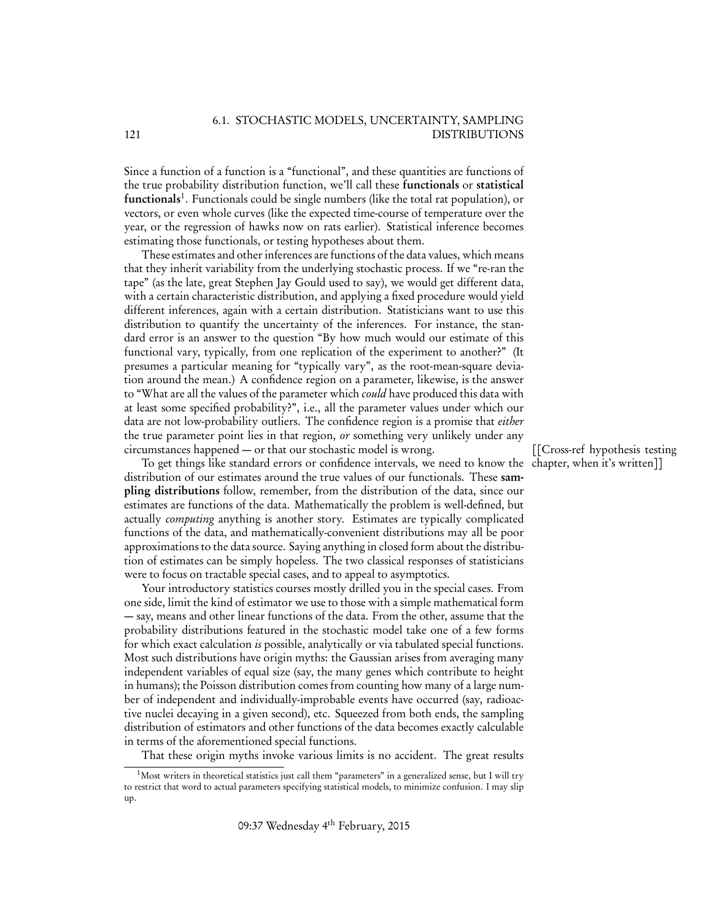#### 6.1. STOCHASTIC MODELS, UNCERTAINTY, SAMPLING DISTRIBUTIONS

Since a function of a function is a "functional", and these quantities are functions of the true probability distribution function, we'll call these functionals or statistical functionals<sup>1</sup>. Functionals could be single numbers (like the total rat population), or vectors, or even whole curves (like the expected time-course of temperature over the year, or the regression of hawks now on rats earlier). Statistical inference becomes estimating those functionals, or testing hypotheses about them.

These estimates and other inferences are functions of the data values, which means that they inherit variability from the underlying stochastic process. If we "re-ran the tape" (as the late, great Stephen Jay Gould used to say), we would get different data, with a certain characteristic distribution, and applying a fixed procedure would yield different inferences, again with a certain distribution. Statisticians want to use this distribution to quantify the uncertainty of the inferences. For instance, the standard error is an answer to the question "By how much would our estimate of this functional vary, typically, from one replication of the experiment to another?" (It presumes a particular meaning for "typically vary", as the root-mean-square deviation around the mean.) A confidence region on a parameter, likewise, is the answer to "What are all the values of the parameter which *could* have produced this data with at least some specified probability?", i.e., all the parameter values under which our data are not low-probability outliers. The confidence region is a promise that *either* the true parameter point lies in that region, *or* something very unlikely under any circumstances happened — or that our stochastic model is wrong. [[Cross-ref hypothesis testing

To get things like standard errors or confidence intervals, we need to know the chapter, when it's written]] distribution of our estimates around the true values of our functionals. These sampling distributions follow, remember, from the distribution of the data, since our estimates are functions of the data. Mathematically the problem is well-defined, but actually *computing* anything is another story. Estimates are typically complicated functions of the data, and mathematically-convenient distributions may all be poor approximations to the data source. Saying anything in closed form about the distribution of estimates can be simply hopeless. The two classical responses of statisticians were to focus on tractable special cases, and to appeal to asymptotics.

Your introductory statistics courses mostly drilled you in the special cases. From one side, limit the kind of estimator we use to those with a simple mathematical form — say, means and other linear functions of the data. From the other, assume that the probability distributions featured in the stochastic model take one of a few forms for which exact calculation *is* possible, analytically or via tabulated special functions. Most such distributions have origin myths: the Gaussian arises from averaging many independent variables of equal size (say, the many genes which contribute to height in humans); the Poisson distribution comes from counting how many of a large number of independent and individually-improbable events have occurred (say, radioactive nuclei decaying in a given second), etc. Squeezed from both ends, the sampling distribution of estimators and other functions of the data becomes exactly calculable in terms of the aforementioned special functions.

That these origin myths invoke various limits is no accident. The great results

<sup>&</sup>lt;sup>1</sup>Most writers in theoretical statistics just call them "parameters" in a generalized sense, but I will try to restrict that word to actual parameters specifying statistical models, to minimize confusion. I may slip up.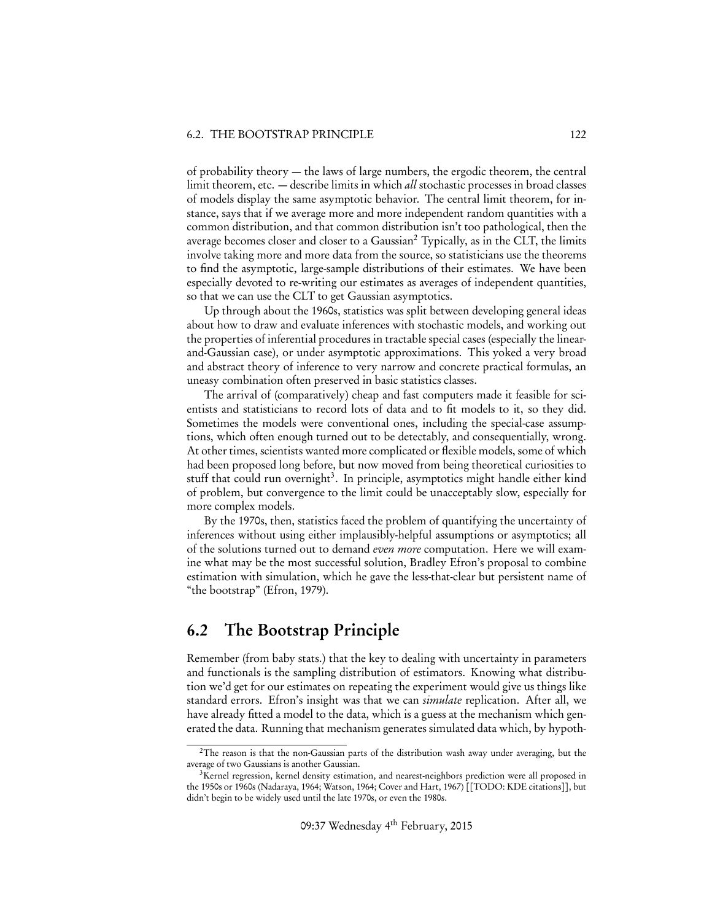of probability theory — the laws of large numbers, the ergodic theorem, the central limit theorem, etc. — describe limits in which *all* stochastic processes in broad classes of models display the same asymptotic behavior. The central limit theorem, for instance, says that if we average more and more independent random quantities with a common distribution, and that common distribution isn't too pathological, then the average becomes closer and closer to a Gaussian<sup>2</sup> Typically, as in the CLT, the limits involve taking more and more data from the source, so statisticians use the theorems to find the asymptotic, large-sample distributions of their estimates. We have been especially devoted to re-writing our estimates as averages of independent quantities, so that we can use the CLT to get Gaussian asymptotics.

Up through about the 1960s, statistics was split between developing general ideas about how to draw and evaluate inferences with stochastic models, and working out the properties of inferential procedures in tractable special cases (especially the linearand-Gaussian case), or under asymptotic approximations. This yoked a very broad and abstract theory of inference to very narrow and concrete practical formulas, an uneasy combination often preserved in basic statistics classes.

The arrival of (comparatively) cheap and fast computers made it feasible for scientists and statisticians to record lots of data and to fit models to it, so they did. Sometimes the models were conventional ones, including the special-case assumptions, which often enough turned out to be detectably, and consequentially, wrong. At other times, scientists wanted more complicated or flexible models, some of which had been proposed long before, but now moved from being theoretical curiosities to stuff that could run overnight<sup>3</sup>. In principle, asymptotics might handle either kind of problem, but convergence to the limit could be unacceptably slow, especially for more complex models.

By the 1970s, then, statistics faced the problem of quantifying the uncertainty of inferences without using either implausibly-helpful assumptions or asymptotics; all of the solutions turned out to demand *even more* computation. Here we will examine what may be the most successful solution, Bradley Efron's proposal to combine estimation with simulation, which he gave the less-that-clear but persistent name of "the bootstrap" (Efron, 1979).

## 6.2 The Bootstrap Principle

Remember (from baby stats.) that the key to dealing with uncertainty in parameters and functionals is the sampling distribution of estimators. Knowing what distribution we'd get for our estimates on repeating the experiment would give us things like standard errors. Efron's insight was that we can *simulate* replication. After all, we have already fitted a model to the data, which is a guess at the mechanism which generated the data. Running that mechanism generates simulated data which, by hypoth-

<sup>&</sup>lt;sup>2</sup>The reason is that the non-Gaussian parts of the distribution wash away under averaging, but the average of two Gaussians is another Gaussian.

<sup>&</sup>lt;sup>3</sup>Kernel regression, kernel density estimation, and nearest-neighbors prediction were all proposed in the 1950s or 1960s (Nadaraya, 1964; Watson, 1964; Cover and Hart, 1967) [[TODO: KDE citations]], but didn't begin to be widely used until the late 1970s, or even the 1980s.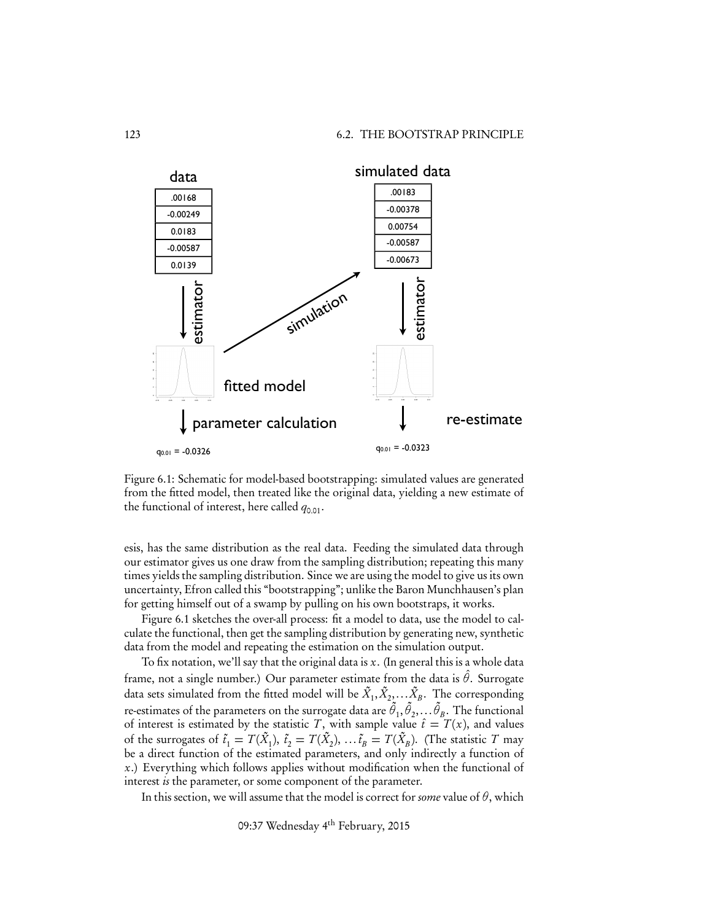

Figure 6.1: Schematic for model-based bootstrapping: simulated values are generated from the fitted model, then treated like the original data, yielding a new estimate of the functional of interest, here called  $q_{0.01}$ .

esis, has the same distribution as the real data. Feeding the simulated data through our estimator gives us one draw from the sampling distribution; repeating this many times yields the sampling distribution. Since we are using the model to give us its own uncertainty, Efron called this "bootstrapping"; unlike the Baron Munchhausen's plan for getting himself out of a swamp by pulling on his own bootstraps, it works.

Figure 6.1 sketches the over-all process: fit a model to data, use the model to calculate the functional, then get the sampling distribution by generating new, synthetic data from the model and repeating the estimation on the simulation output.

To fix notation, we'll say that the original data is *x*. (In general this is a whole data frame, not a single number.) Our parameter estimate from the data is  $\hat{\theta}.$  Surrogate data sets simulated from the fitted model will be  $\tilde{X}_1, \tilde{X}_2, \ldots \tilde{X}_B$ . The corresponding re-estimates of the parameters on the surrogate data are  $\tilde{\theta}_1, \tilde{\theta}_2, \ldots \tilde{\theta}_B.$  The functional of interest is estimated by the statistic *T*, with sample value  $\hat{t} = T(x)$ , and values of the surrogates of  $\tilde{t}_1 = T(\tilde{X}_1), \ \tilde{t}_2 = T(\tilde{X}_2), \ \ldots \tilde{t}_B = T(\tilde{X}_B)$ . (The statistic *T* may be a direct function of the estimated parameters, and only indirectly a function of *x*.) Everything which follows applies without modification when the functional of interest *is* the parameter, or some component of the parameter.

In this section, we will assume that the model is correct for *some* value of  $\theta$ , which

09:37 Wednesday 4th February, 2015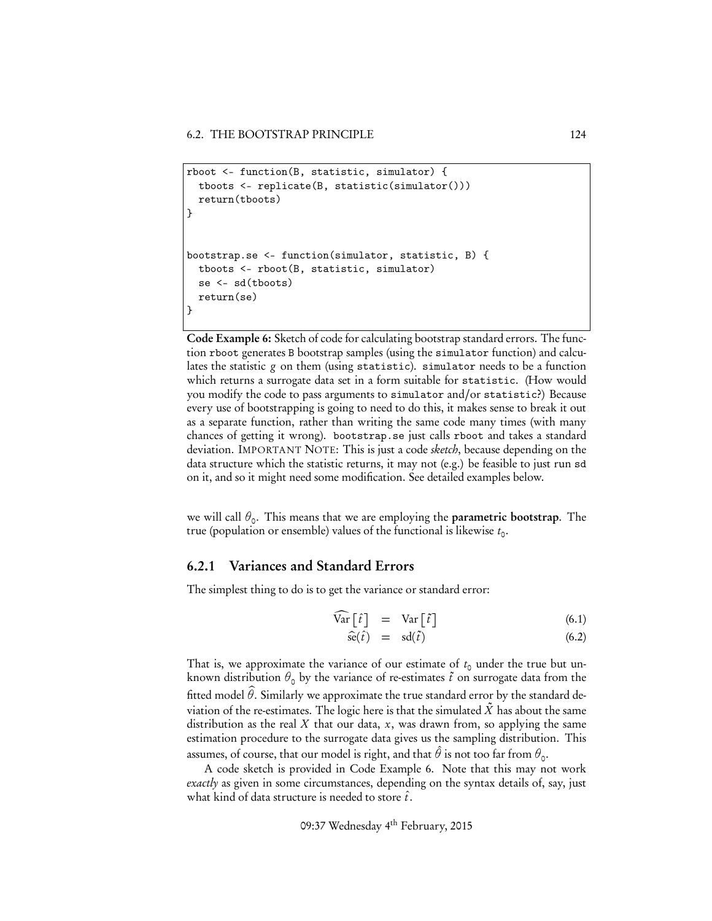```
rboot <- function(B, statistic, simulator) {
  tboots <- replicate(B, statistic(simulator()))
  return(tboots)
}
bootstrap.se <- function(simulator, statistic, B) {
  tboots <- rboot(B, statistic, simulator)
  se <- sd(tboots)
  return(se)
}
```
Code Example 6: Sketch of code for calculating bootstrap standard errors. The function rboot generates B bootstrap samples (using the simulator function) and calculates the statistic *g* on them (using statistic). simulator needs to be a function which returns a surrogate data set in a form suitable for statistic. (How would you modify the code to pass arguments to simulator and/or statistic?) Because every use of bootstrapping is going to need to do this, it makes sense to break it out as a separate function, rather than writing the same code many times (with many chances of getting it wrong). bootstrap.se just calls rboot and takes a standard deviation. IMPORTANT NOTE: This is just a code *sketch*, because depending on the data structure which the statistic returns, it may not (e.g.) be feasible to just run sd on it, and so it might need some modification. See detailed examples below.

we will call  $\theta_0$ . This means that we are employing the **parametric bootstrap**. The true (population or ensemble) values of the functional is likewise  $t_0$ .

#### 6.2.1 Variances and Standard Errors

The simplest thing to do is to get the variance or standard error:

$$
\widehat{\text{Var}}\begin{bmatrix} \hat{t} \end{bmatrix} = \text{Var}\begin{bmatrix} \hat{t} \end{bmatrix} \tag{6.1}
$$

$$
\widehat{\rm se}(\widehat{t}) = \rm sd(\widehat{t}) \tag{6.2}
$$

That is, we approximate the variance of our estimate of  $t_0$  under the true but unknown distribution  $\theta_0$  by the variance of re-estimates  $\tilde{t}$  on surrogate data from the fitted model  $\theta.$  Similarly we approximate the true standard error by the standard deviation of the re-estimates. The logic here is that the simulated  $\tilde{X}$  has about the same distribution as the real *X* that our data, *x*, was drawn from, so applying the same estimation procedure to the surrogate data gives us the sampling distribution. This assumes, of course, that our model is right, and that  $\hat{\theta}$  is not too far from  $\theta_{\text{o}}$ .

A code sketch is provided in Code Example 6. Note that this may not work *exactly* as given in some circumstances, depending on the syntax details of, say, just what kind of data structure is needed to store *t* ˆ.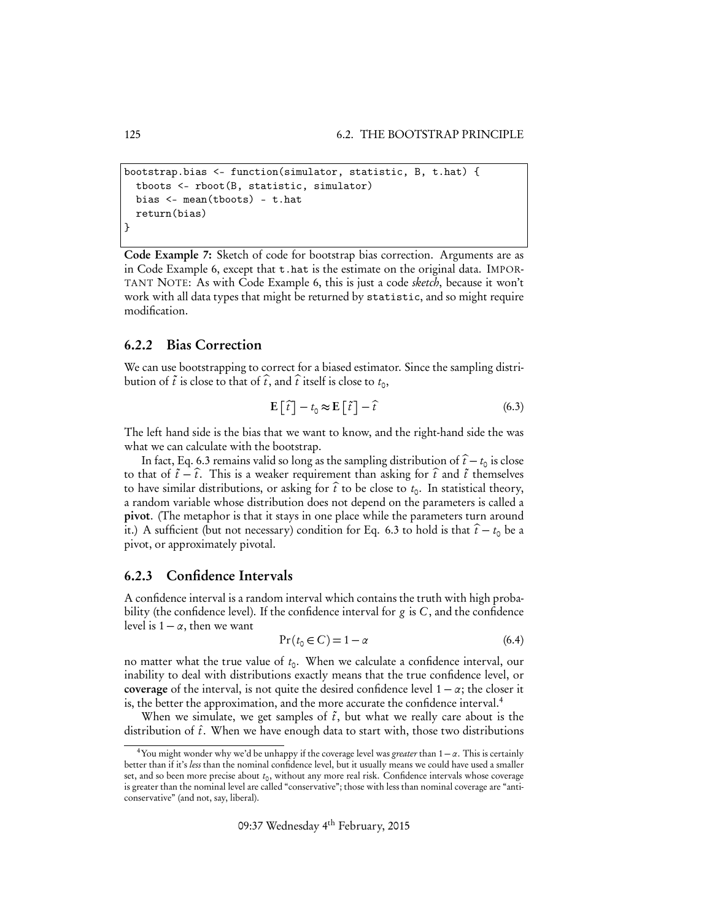```
bootstrap.bias <- function(simulator, statistic, B, t.hat) {
  tboots <- rboot(B, statistic, simulator)
  bias <- mean(tboots) - t.hat
  return(bias)
}
```
Code Example 7: Sketch of code for bootstrap bias correction. Arguments are as in Code Example 6, except that t.hat is the estimate on the original data. IMPOR-TANT NOTE: As with Code Example 6, this is just a code *sketch*, because it won't work with all data types that might be returned by statistic, and so might require modification.

#### 6.2.2 Bias Correction

We can use bootstrapping to correct for a biased estimator. Since the sampling distribution of  $\tilde{t}$  is close to that of  $\hat{t}$ , and  $\hat{t}$  itself is close to  $t_0$ ,

$$
\mathbf{E}\left[\hat{t}\right] - t_0 \approx \mathbf{E}\left[\hat{t}\right] - \hat{t} \tag{6.3}
$$

The left hand side is the bias that we want to know, and the right-hand side the was what we can calculate with the bootstrap.

In fact, Eq. 6.3 remains valid so long as the sampling distribution of  $\hat{t} - t_0$  is close to that of  $\tilde{t} - \hat{t}$ . This is a weaker requirement than asking for  $\hat{t}$  and  $\tilde{t}$  themselves to have similar distributions, or asking for  $\hat{t}$  to be close to  $t_0$ . In statistical theory, a random variable whose distribution does not depend on the parameters is called a pivot. (The metaphor is that it stays in one place while the parameters turn around it.) A sufficient (but not necessary) condition for Eq. 6.3 to hold is that  $\hat{t} - t_0$  be a pivot, or approximately pivotal.

#### 6.2.3 Confidence Intervals

A confidence interval is a random interval which contains the truth with high probability (the confidence level). If the confidence interval for *g* is *C*, and the confidence level is  $1 - \alpha$ , then we want

$$
Pr(t_0 \in C) = 1 - \alpha \tag{6.4}
$$

no matter what the true value of  $t_0$ . When we calculate a confidence interval, our inability to deal with distributions exactly means that the true confidence level, or coverage of the interval, is not quite the desired confidence level  $1 - \alpha$ ; the closer it is, the better the approximation, and the more accurate the confidence interval.<sup>4</sup>

When we simulate, we get samples of  $\tilde{t}$ , but what we really care about is the distribution of *t* ˆ. When we have enough data to start with, those two distributions

09:37 Wednesday 4th February, 2015

<sup>&</sup>lt;sup>4</sup>You might wonder why we'd be unhappy if the coverage level was *greater* than  $1 - \alpha$ . This is certainly better than if it's *less* than the nominal confidence level, but it usually means we could have used a smaller set, and so been more precise about  $t_0$ , without any more real risk. Confidence intervals whose coverage is greater than the nominal level are called "conservative"; those with less than nominal coverage are "anticonservative" (and not, say, liberal).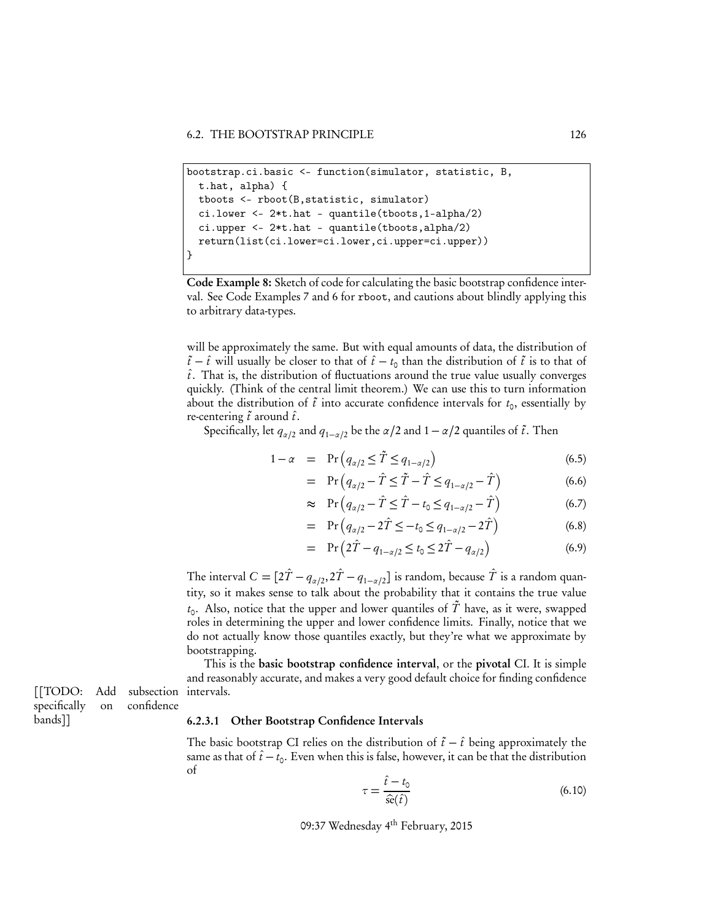```
bootstrap.ci.basic <- function(simulator, statistic, B,
 t.hat, alpha) {
 tboots <- rboot(B,statistic, simulator)
 ci.lower <- 2*t.hat - quantile(tboots,1-alpha/2)
 ci.upper <- 2*t.hat - quantile(tboots,alpha/2)
 return(list(ci.lower=ci.lower,ci.upper=ci.upper))
}
```
Code Example 8: Sketch of code for calculating the basic bootstrap confidence interval. See Code Examples 7 and 6 for rboot, and cautions about blindly applying this to arbitrary data-types.

will be approximately the same. But with equal amounts of data, the distribution of  $\tilde{t} - t$  will usually be closer to that of  $\hat{t} - t_0$  than the distribution of  $\tilde{t}$  is to that of *t* ˆ. That is, the distribution of fluctuations around the true value usually converges quickly. (Think of the central limit theorem.) We can use this to turn information about the distribution of  $\tilde{t}$  into accurate confidence intervals for  $t_0$ , essentially by re-centering  $\tilde{t}$  around  $\hat{t}$ .

Specifically, let  $q_{\alpha/2}$  and  $q_{1-\alpha/2}$  be the  $\alpha/2$  and  $1-\alpha/2$  quantiles of  $\tilde{t}$ . Then

$$
1 - \alpha = \Pr\left(q_{\alpha/2} \le \tilde{T} \le q_{1-\alpha/2}\right) \tag{6.5}
$$

$$
= \Pr\left(q_{\alpha/2} - \hat{T} \le \tilde{T} - \hat{T} \le q_{1-\alpha/2} - \hat{T}\right) \tag{6.6}
$$

$$
\approx \quad \Pr\left(q_{\alpha/2} - \hat{T} \leq \hat{T} - t_0 \leq q_{1-\alpha/2} - \hat{T}\right) \tag{6.7}
$$

$$
= \Pr (q_{\alpha/2} - 2\hat{T} \le -t_0 \le q_{1-\alpha/2} - 2\hat{T}) \tag{6.8}
$$

$$
= \Pr\left(2\hat{T} - q_{1-\alpha/2} \le t_0 \le 2\hat{T} - q_{\alpha/2}\right) \tag{6.9}
$$

The interval  $C = [2\hat{T} - q_{\alpha/2}, 2\hat{T} - q_{1-\alpha/2}]$  is random, because  $\hat{T}$  is a random quantity, so it makes sense to talk about the probability that it contains the true value  $t_0$ . Also, notice that the upper and lower quantiles of  $\tilde{T}$  have, as it were, swapped roles in determining the upper and lower confidence limits. Finally, notice that we do not actually know those quantiles exactly, but they're what we approximate by bootstrapping.

This is the basic bootstrap confidence interval, or the pivotal CI. It is simple and reasonably accurate, and makes a very good default choice for finding confidence

#### bands]] 6.2.3.1 Other Bootstrap Confidence Intervals

The basic bootstrap CI relies on the distribution of  $\tilde{t} - \hat{t}$  being approximately the same as that of  $\hat{t} - t_0$ . Even when this is false, however, it can be that the distribution of

$$
\tau = \frac{\hat{t} - t_0}{\hat{\text{se}}(\hat{t})} \tag{6.10}
$$

09:37 Wednesday 4th February, 2015

[[TODO: Add subsection intervals. specifically on confidence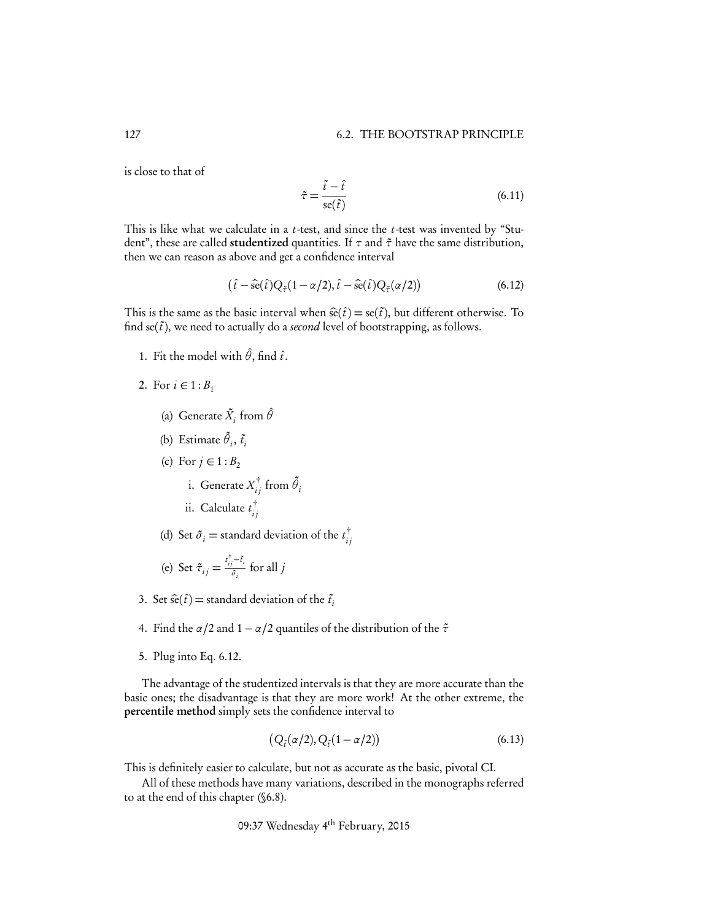is close to that of

$$
\tilde{\tau} = \frac{\tilde{t} - \hat{t}}{\text{se}(\tilde{t})} \tag{6.11}
$$

This is like what we calculate in a *t*-test, and since the *t*-test was invented by "Student", these are called studentized quantities. If  $\tau$  and  $\tilde{\tau}$  have the same distribution, then we can reason as above and get a confidence interval

$$
(\hat{t} - \hat{\rm sc}(\hat{t})Q_{\hat{\tau}}(1 - \alpha/2), \hat{t} - \hat{\rm sc}(\hat{t})Q_{\hat{\tau}}(\alpha/2))
$$
\n(6.12)

This is the same as the basic interval when  $\hat{\mathbf{s}}(\hat{t}) = \mathbf{s}(\hat{t})$ , but different otherwise. To find  $se(\tilde{t})$ , we need to actually do a *second* level of bootstrapping, as follows.

- 1. Fit the model with  $\hat{\theta}$ , find  $\hat{t}$ .
- 2. For  $i \in 1 : B_1$ 
	- (a) Generate  $\tilde{X}_i$  from  $\hat{\theta}$
	- (b) Estimate  $\tilde{\theta}_i$ ,  $\tilde{t}_i$
	- (c) For  $j \in 1 : B_2$ i. Generate  $X_{ij}^\dagger$  from  $\widetilde{\theta}_i$ ii. Calculate *t* †
	- *i j* (d) Set  $\tilde{\sigma}_i$  = standard deviation of the  $t_i^{\dagger}$ *i j*

(e) Set 
$$
\tilde{\tau}_{ij} = \frac{t_{ij}^{\dagger} - \tilde{t}_i}{\tilde{\sigma}_i}
$$
 for all j

- 3. Set  $\hat{\mathbf{e}}(\hat{t}) = \text{standard deviation of the } \tilde{t}_i$
- 4. Find the  $\alpha/2$  and  $1 \alpha/2$  quantiles of the distribution of the  $\tilde{\tau}$
- 5. Plug into Eq. 6.12.

The advantage of the studentized intervals is that they are more accurate than the basic ones; the disadvantage is that they are more work! At the other extreme, the percentile method simply sets the confidence interval to

$$
(Q_{\hat{t}}(\alpha/2), Q_{\hat{t}}(1-\alpha/2)) \tag{6.13}
$$

This is definitely easier to calculate, but not as accurate as the basic, pivotal CI.

All of these methods have many variations, described in the monographs referred to at the end of this chapter (§6.8).

09:37 Wednesday 4th February, 2015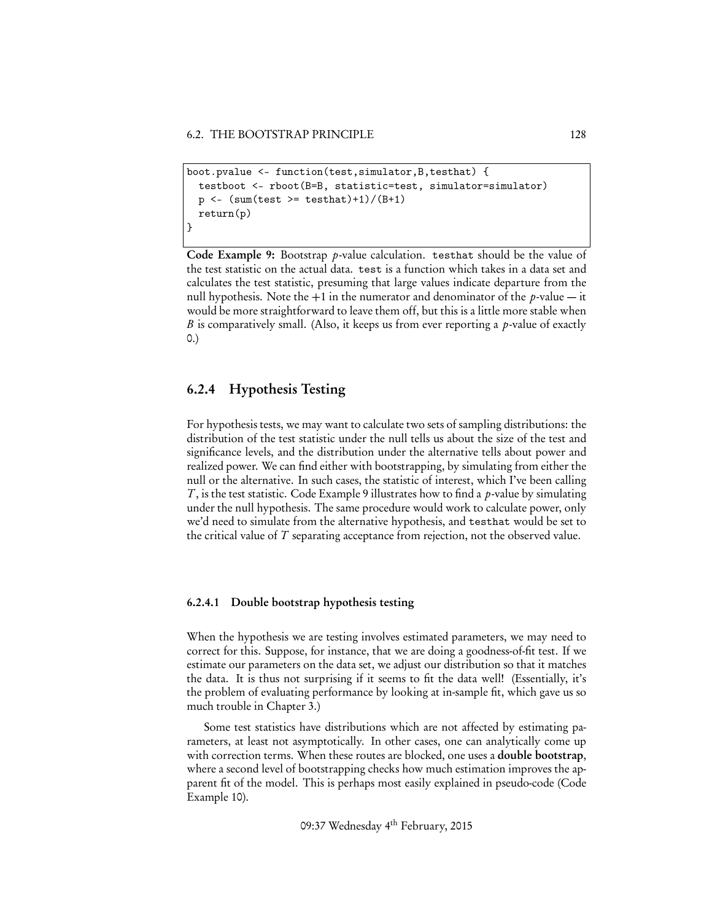```
boot.pvalue <- function(test,simulator,B,testhat) {
  testboot <- rboot(B=B, statistic=test, simulator=simulator)
  p \leftarrow \frac{\text{(sum(test)} - \text{testhat})+1}{\text{(B+1)}}return(p)
}
```
Code Example 9: Bootstrap *p*-value calculation. testhat should be the value of the test statistic on the actual data. test is a function which takes in a data set and calculates the test statistic, presuming that large values indicate departure from the null hypothesis. Note the  $+1$  in the numerator and denominator of the *p*-value — it would be more straightforward to leave them off, but this is a little more stable when *B* is comparatively small. (Also, it keeps us from ever reporting a *p*-value of exactly 0.)

#### 6.2.4 Hypothesis Testing

For hypothesis tests, we may want to calculate two sets of sampling distributions: the distribution of the test statistic under the null tells us about the size of the test and significance levels, and the distribution under the alternative tells about power and realized power. We can find either with bootstrapping, by simulating from either the null or the alternative. In such cases, the statistic of interest, which I've been calling *T* , is the test statistic. Code Example 9 illustrates how to find a *p*-value by simulating under the null hypothesis. The same procedure would work to calculate power, only we'd need to simulate from the alternative hypothesis, and testhat would be set to the critical value of *T* separating acceptance from rejection, not the observed value.

#### 6.2.4.1 Double bootstrap hypothesis testing

When the hypothesis we are testing involves estimated parameters, we may need to correct for this. Suppose, for instance, that we are doing a goodness-of-fit test. If we estimate our parameters on the data set, we adjust our distribution so that it matches the data. It is thus not surprising if it seems to fit the data well! (Essentially, it's the problem of evaluating performance by looking at in-sample fit, which gave us so much trouble in Chapter 3.)

Some test statistics have distributions which are not affected by estimating parameters, at least not asymptotically. In other cases, one can analytically come up with correction terms. When these routes are blocked, one uses a **double bootstrap**, where a second level of bootstrapping checks how much estimation improves the apparent fit of the model. This is perhaps most easily explained in pseudo-code (Code Example 10).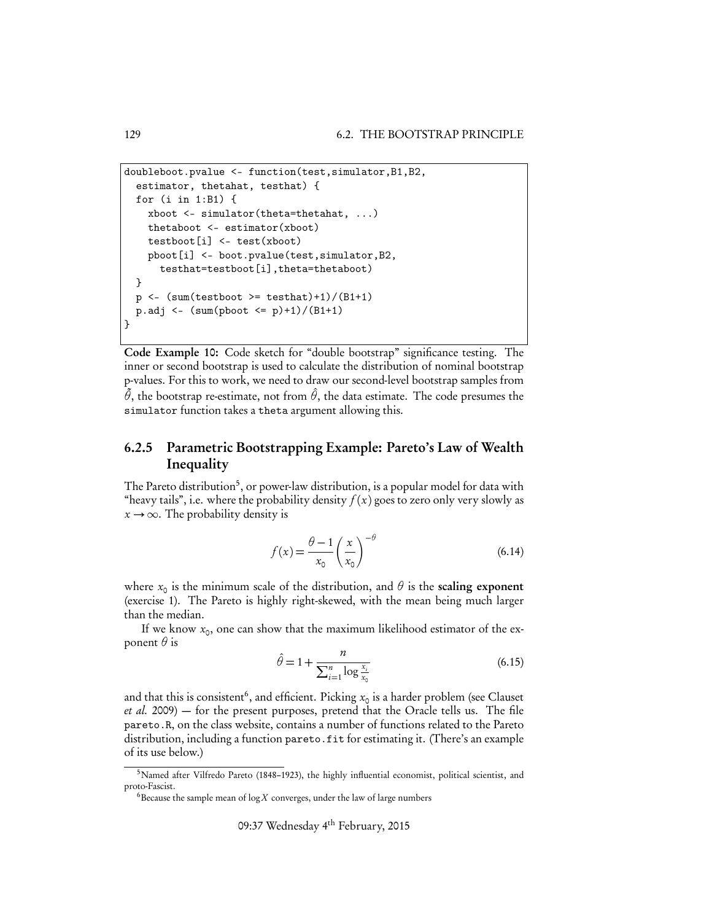```
doubleboot.pvalue <- function(test,simulator,B1,B2,
  estimator, thetahat, testhat) {
  for (i in 1:B1) {
    xboot \leq simulator(theta=thetahat, ...)
    thetaboot <- estimator(xboot)
    testboot[i] <- test(xboot)
    pboot[i] <- boot.pvalue(test,simulator,B2,
      testhat=testboot[i],theta=thetaboot)
  }
  p \leftarrow (sum(testboot >= testhat)+1)/(B1+1)
  p.add <- (sum(pboot <= p)+1)/(B1+1)
}
```
Code Example 10: Code sketch for "double bootstrap" significance testing. The inner or second bootstrap is used to calculate the distribution of nominal bootstrap p-values. For this to work, we need to draw our second-level bootstrap samples from  $\tilde{\theta}$ , the bootstrap re-estimate, not from  $\hat{\theta}$ , the data estimate. The code presumes the simulator function takes a theta argument allowing this.

#### 6.2.5 Parametric Bootstrapping Example: Pareto's Law of Wealth Inequality

The Pareto distribution<sup>5</sup>, or power-law distribution, is a popular model for data with "heavy tails", i.e. where the probability density  $f(x)$  goes to zero only very slowly as  $x \rightarrow \infty$ . The probability density is

$$
f(x) = \frac{\theta - 1}{x_0} \left(\frac{x}{x_0}\right)^{-\theta} \tag{6.14}
$$

where  $x_0$  is the minimum scale of the distribution, and  $\theta$  is the scaling exponent (exercise 1). The Pareto is highly right-skewed, with the mean being much larger than the median.

If we know  $x_0$ , one can show that the maximum likelihood estimator of the exponent  $\theta$  is

$$
\hat{\theta} = 1 + \frac{n}{\sum_{i=1}^{n} \log \frac{x_i}{x_0}}
$$
\n(6.15)

and that this is consistent<sup>6</sup>, and efficient. Picking  $x_0$  is a harder problem (see Clauset *et al.* 2009) — for the present purposes, pretend that the Oracle tells us. The file pareto.R, on the class website, contains a number of functions related to the Pareto distribution, including a function pareto.fit for estimating it. (There's an example of its use below.)

<sup>5</sup>Named after Vilfredo Pareto (1848–1923), the highly influential economist, political scientist, and proto-Fascist.

 $^6$ Because the sample mean of  $\log X$  converges, under the law of large numbers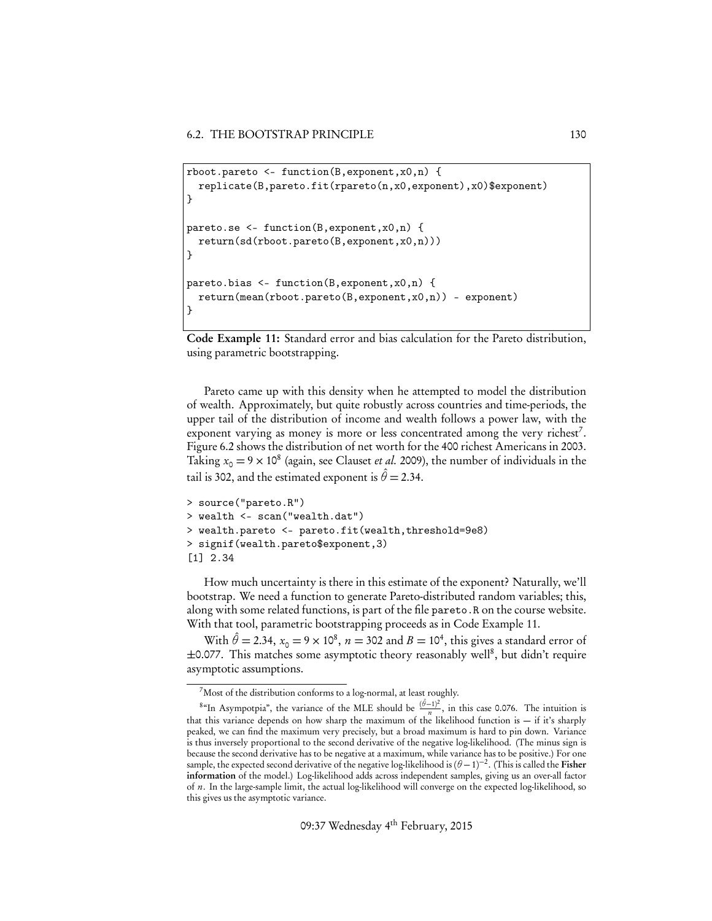```
rboot.pareto <- function(B,exponent,x0,n) {
  replicate(B,pareto.fit(rpareto(n,x0,exponent),x0)$exponent)
}
pareto.se <- function(B,exponent,x0,n) {
  return(sd(rboot.pareto(B,exponent,x0,n)))
}
pareto.bias <- function(B,exponent,x0,n) {
  return(mean(rboot.pareto(B,exponent,x0,n)) - exponent)
}
```
Code Example 11: Standard error and bias calculation for the Pareto distribution, using parametric bootstrapping.

Pareto came up with this density when he attempted to model the distribution of wealth. Approximately, but quite robustly across countries and time-periods, the upper tail of the distribution of income and wealth follows a power law, with the exponent varying as money is more or less concentrated among the very richest'. Figure 6.2 shows the distribution of net worth for the 400 richest Americans in 2003. Taking  $x_0 = 9 \times 10^8$  (again, see Clauset *et al.* 2009), the number of individuals in the tail is 302, and the estimated exponent is  $\hat{\theta} = 2.34$ .

```
> source("pareto.R")
> wealth <- scan("wealth.dat")
> wealth.pareto <- pareto.fit(wealth,threshold=9e8)
> signif(wealth.pareto$exponent,3)
[1] 2.34
```
How much uncertainty is there in this estimate of the exponent? Naturally, we'll bootstrap. We need a function to generate Pareto-distributed random variables; this, along with some related functions, is part of the file pareto.R on the course website. With that tool, parametric bootstrapping proceeds as in Code Example 11.

With  $\hat{\theta} = 2.34$ ,  $x_0 = 9 \times 10^8$ ,  $n = 302$  and  $B = 10^4$ , this gives a standard error of *<sup>±</sup>*0.077. This matches some asymptotic theory reasonably well8, but didn't require asymptotic assumptions.

<sup>7</sup>Most of the distribution conforms to a log-normal, at least roughly.

<sup>&</sup>lt;sup>8</sup><sup>4</sup>In Asympotpia", the variance of the MLE should be  $\frac{(\hat{\theta}-1)^2}{n}$ , in this case 0.076. The intuition is that this variance depends on how sharp the maximum of the likelihood function is  $-$  if it's sharply peaked, we can find the maximum very precisely, but a broad maximum is hard to pin down. Variance is thus inversely proportional to the second derivative of the negative log-likelihood. (The minus sign is because the second derivative has to be negative at a maximum, while variance has to be positive.) For one sample, the expected second derivative of the negative log-likelihood is  $(\theta - 1)^{-2}$ . (This is called the **Fisher** information of the model.) Log-likelihood adds across independent samples, giving us an over-all factor of *n*. In the large-sample limit, the actual log-likelihood will converge on the expected log-likelihood, so this gives us the asymptotic variance.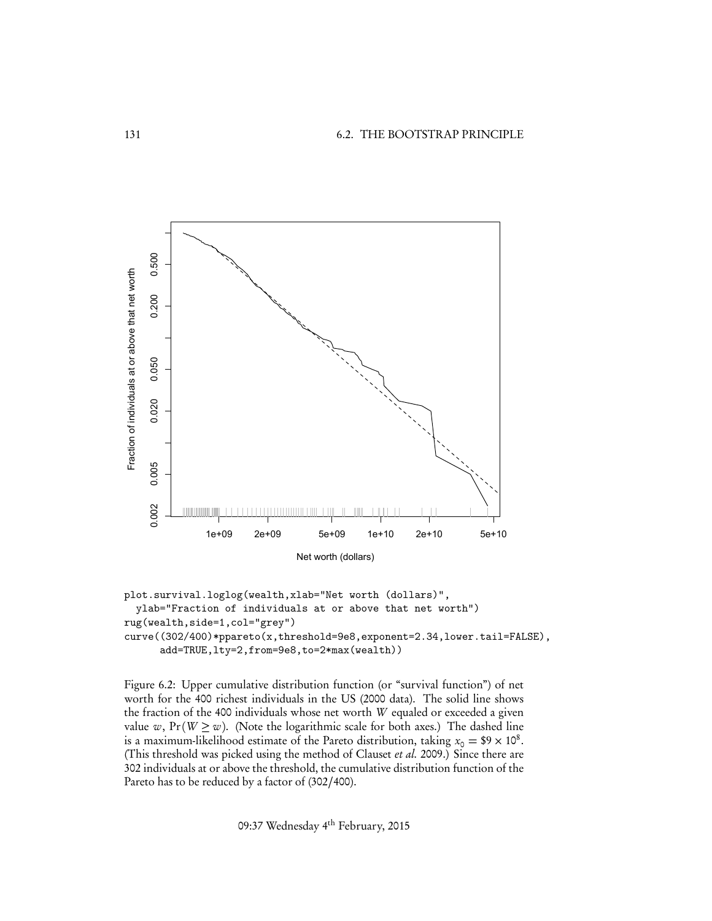



Figure 6.2: Upper cumulative distribution function (or "survival function") of net worth for the 400 richest individuals in the US (2000 data). The solid line shows the fraction of the 400 individuals whose net worth *W* equaled or exceeded a given value *w*,  $Pr(W \geq w)$ . (Note the logarithmic scale for both axes.) The dashed line is a maximum-likelihood estimate of the Pareto distribution, taking  $x_0 = $9 \times 10^8$ . (This threshold was picked using the method of Clauset *et al.* 2009.) Since there are 302 individuals at or above the threshold, the cumulative distribution function of the Pareto has to be reduced by a factor of (302/400).

09:37 Wednesday 4th February, 2015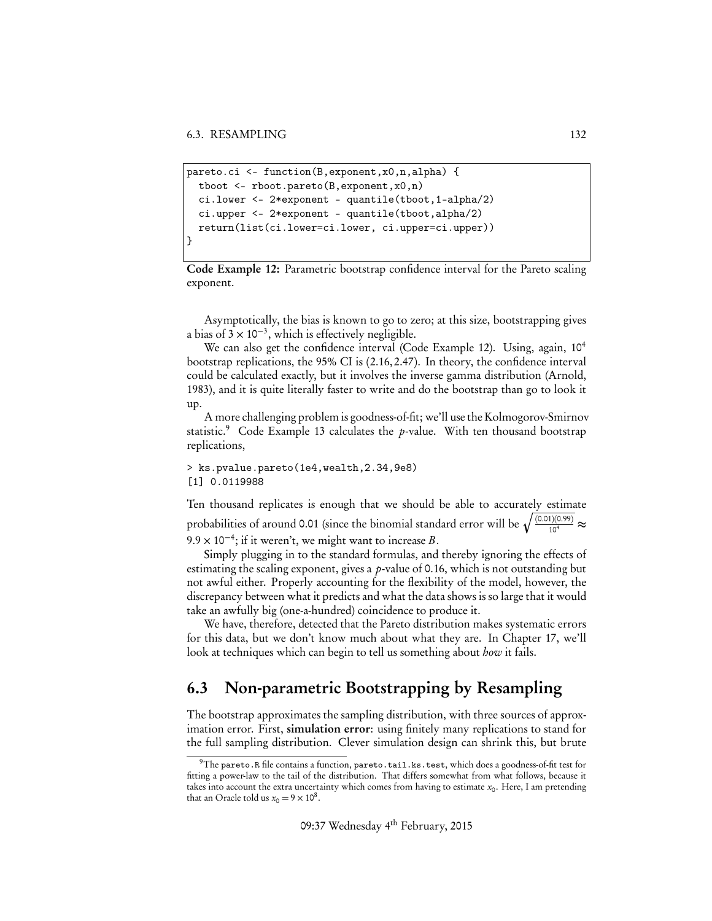```
pareto.ci <- function(B,exponent,x0,n,alpha) {
  tboot <- rboot.pareto(B,exponent,x0,n)
  ci.lower <- 2*exponent - quantile(tboot,1-alpha/2)
  ci.upper <- 2*exponent - quantile(tboot,alpha/2)
 return(list(ci.lower=ci.lower, ci.upper=ci.upper))
}
```
Code Example 12: Parametric bootstrap confidence interval for the Pareto scaling exponent.

Asymptotically, the bias is known to go to zero; at this size, bootstrapping gives a bias of  $3 \times 10^{-3}$ , which is effectively negligible.

We can also get the confidence interval (Code Example 12). Using, again, 10<sup>4</sup> bootstrap replications, the 95% CI is (2.16, 2.47). In theory, the confidence interval could be calculated exactly, but it involves the inverse gamma distribution (Arnold, 1983), and it is quite literally faster to write and do the bootstrap than go to look it up.

A more challenging problem is goodness-of-fit; we'll use the Kolmogorov-Smirnov statistic.<sup>9</sup> Code Example 13 calculates the *p*-value. With ten thousand bootstrap replications,

```
> ks.pvalue.pareto(1e4,wealth,2.34,9e8)
[1] 0.0119988
```
Ten thousand replicates is enough that we should be able to accurately estimate probabilities of around 0.01 (since the binomial standard error will be  $\sqrt{\frac{(0.01)(0.99)}{10^4}}$   $\approx$  $9.9 \times 10^{-4}$ ; if it weren't, we might want to increase *B*.

Simply plugging in to the standard formulas, and thereby ignoring the effects of estimating the scaling exponent, gives a *p*-value of 0.16, which is not outstanding but not awful either. Properly accounting for the flexibility of the model, however, the discrepancy between what it predicts and what the data shows is so large that it would take an awfully big (one-a-hundred) coincidence to produce it.

We have, therefore, detected that the Pareto distribution makes systematic errors for this data, but we don't know much about what they are. In Chapter 17, we'll look at techniques which can begin to tell us something about *how* it fails.

## 6.3 Non-parametric Bootstrapping by Resampling

The bootstrap approximates the sampling distribution, with three sources of approximation error. First, simulation error: using finitely many replications to stand for the full sampling distribution. Clever simulation design can shrink this, but brute

<sup>9</sup>The pareto.R file contains a function, pareto.tail.ks.test, which does a goodness-of-fit test for fitting a power-law to the tail of the distribution. That differs somewhat from what follows, because it takes into account the extra uncertainty which comes from having to estimate  $x_0$ . Here, I am pretending that an Oracle told us  $x_0 = 9 \times 10^8$ .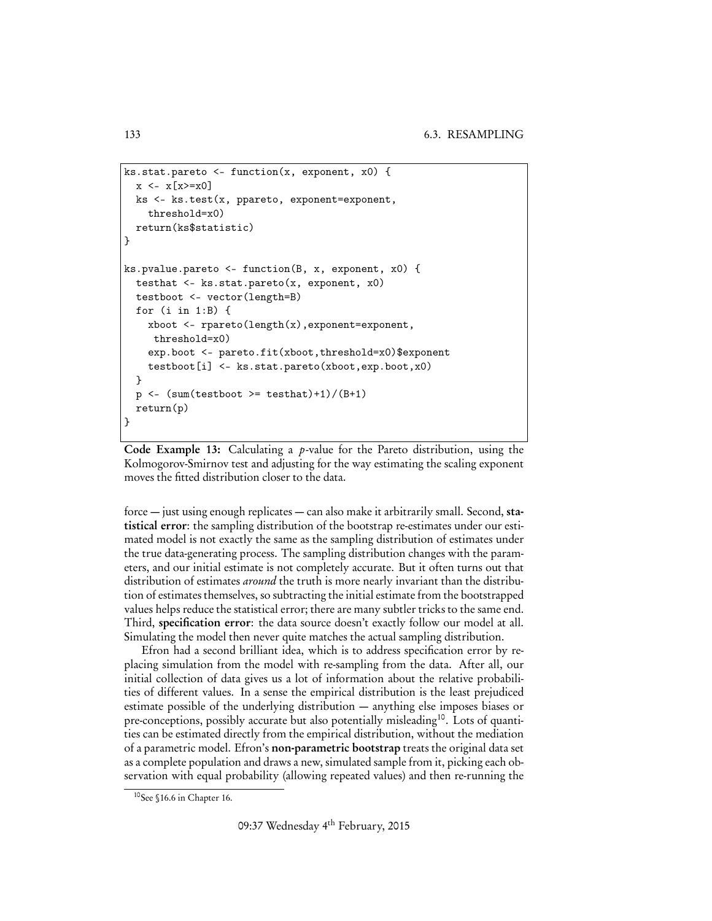```
ks.stat.pareto <- function(x, exponent, x0) {
  x \leftarrow x[x>=x0]ks <- ks.test(x, ppareto, exponent=exponent,
    threshold=x0)
  return(ks$statistic)
}
ks.pvalue.pareto <- function(B, x, exponent, x0) {
  testhat <- ks.stat.pareto(x, exponent, x0)
  testboot <- vector(length=B)
  for (i in 1:B) {
    xboot \leq rpareto(length(x), exponent=exponent,
     threshold=x0)
    exp.boot <- pareto.fit(xboot,threshold=x0)$exponent
    testboot[i] <- ks.stat.pareto(xboot,exp.boot,x0)
  }
  p \leftarrow (sum(testboot >= testhat)+1)/(B+1)
  return(p)
}
```
Code Example 13: Calculating a *p*-value for the Pareto distribution, using the Kolmogorov-Smirnov test and adjusting for the way estimating the scaling exponent moves the fitted distribution closer to the data.

force — just using enough replicates — can also make it arbitrarily small. Second, statistical error: the sampling distribution of the bootstrap re-estimates under our estimated model is not exactly the same as the sampling distribution of estimates under the true data-generating process. The sampling distribution changes with the parameters, and our initial estimate is not completely accurate. But it often turns out that distribution of estimates *around* the truth is more nearly invariant than the distribution of estimates themselves, so subtracting the initial estimate from the bootstrapped values helps reduce the statistical error; there are many subtler tricks to the same end. Third, specification error: the data source doesn't exactly follow our model at all. Simulating the model then never quite matches the actual sampling distribution.

Efron had a second brilliant idea, which is to address specification error by replacing simulation from the model with re-sampling from the data. After all, our initial collection of data gives us a lot of information about the relative probabilities of different values. In a sense the empirical distribution is the least prejudiced estimate possible of the underlying distribution — anything else imposes biases or pre-conceptions, possibly accurate but also potentially misleading<sup>10</sup>. Lots of quantities can be estimated directly from the empirical distribution, without the mediation of a parametric model. Efron's non-parametric bootstrap treats the original data set as a complete population and draws a new, simulated sample from it, picking each observation with equal probability (allowing repeated values) and then re-running the

<sup>10</sup>See §16.6 in Chapter 16.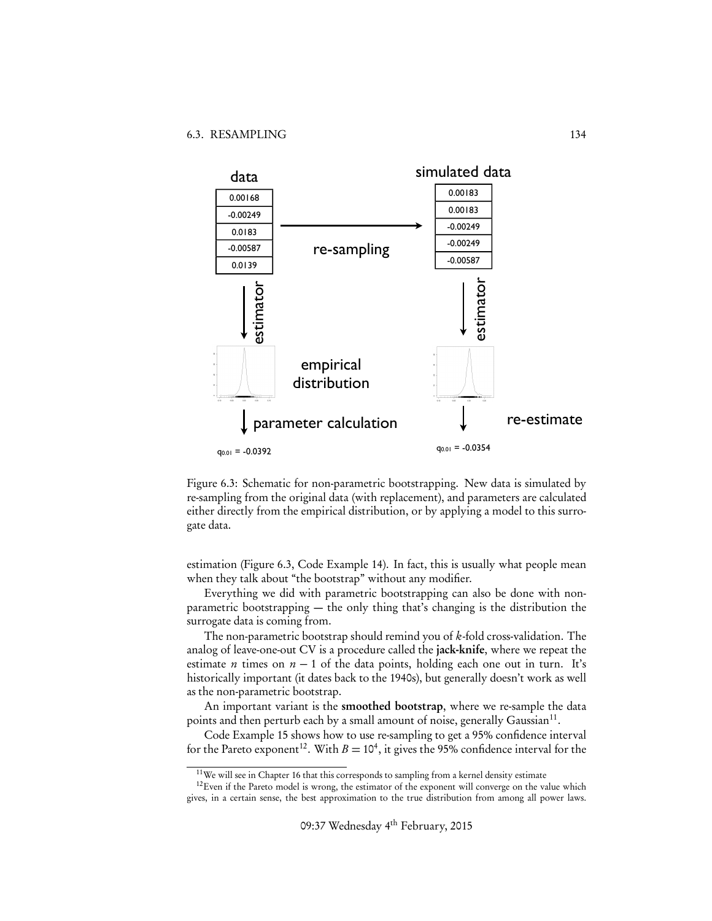

Figure 6.3: Schematic for non-parametric bootstrapping. New data is simulated by re-sampling from the original data (with replacement), and parameters are calculated either directly from the empirical distribution, or by applying a model to this surrogate data.

estimation (Figure 6.3, Code Example 14). In fact, this is usually what people mean when they talk about "the bootstrap" without any modifier.

Everything we did with parametric bootstrapping can also be done with nonparametric bootstrapping — the only thing that's changing is the distribution the surrogate data is coming from.

The non-parametric bootstrap should remind you of *k*-fold cross-validation. The analog of leave-one-out CV is a procedure called the jack-knife, where we repeat the estimate *n* times on  $n - 1$  of the data points, holding each one out in turn. It's historically important (it dates back to the 1940s), but generally doesn't work as well as the non-parametric bootstrap.

An important variant is the smoothed bootstrap, where we re-sample the data points and then perturb each by a small amount of noise, generally Gaussian<sup>11</sup>.

Code Example 15 shows how to use re-sampling to get a 95% confidence interval for the Pareto exponent<sup>12</sup>. With  $B = 10^4$ , it gives the 95% confidence interval for the

<sup>&</sup>lt;sup>11</sup>We will see in Chapter 16 that this corresponds to sampling from a kernel density estimate

<sup>&</sup>lt;sup>12</sup>Even if the Pareto model is wrong, the estimator of the exponent will converge on the value which gives, in a certain sense, the best approximation to the true distribution from among all power laws.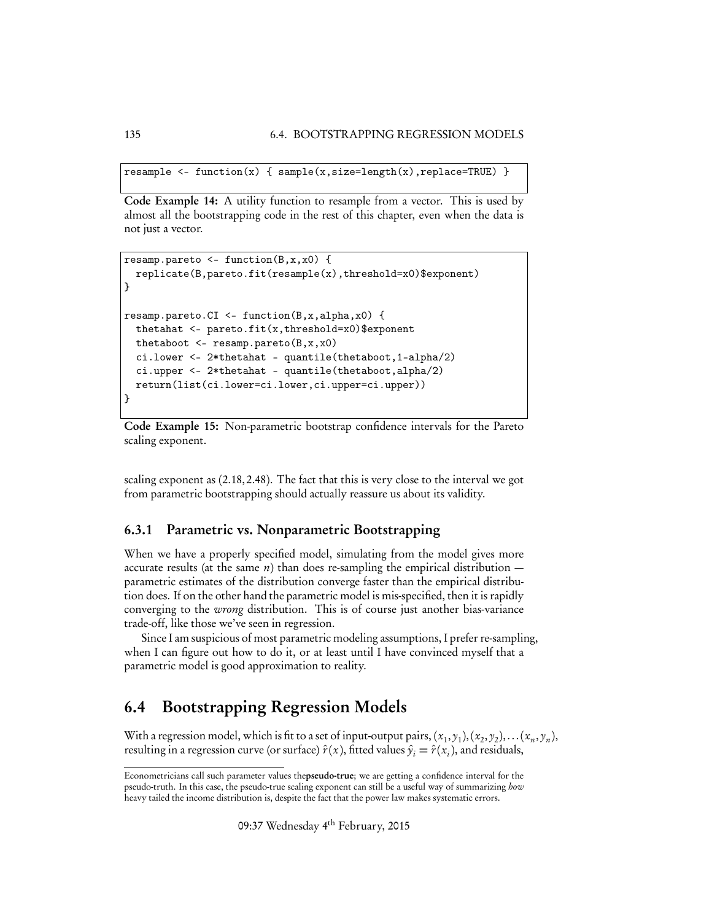```
resample <- function(x) { sample(x,size=length(x),replace=TRUE) }
```
Code Example 14: A utility function to resample from a vector. This is used by almost all the bootstrapping code in the rest of this chapter, even when the data is not just a vector.

```
resamp.pareto \leq function(B,x,x0) {
  replicate(B,pareto.fit(resample(x),threshold=x0)$exponent)
}
resamp.pareto.CI <- function(B,x,alpha,x0) {
  thetahat <- pareto.fit(x,threshold=x0)$exponent
  thetaboot \leq- resamp.pareto(B,x,x0)
  ci.lower <- 2*thetahat - quantile(thetaboot,1-alpha/2)
  ci.upper <- 2*thetahat - quantile(thetaboot,alpha/2)
  return(list(ci.lower=ci.lower,ci.upper=ci.upper))
}
```
Code Example 15: Non-parametric bootstrap confidence intervals for the Pareto scaling exponent.

scaling exponent as (2.18, 2.48). The fact that this is very close to the interval we got from parametric bootstrapping should actually reassure us about its validity.

#### 6.3.1 Parametric vs. Nonparametric Bootstrapping

When we have a properly specified model, simulating from the model gives more accurate results (at the same *n*) than does re-sampling the empirical distribution parametric estimates of the distribution converge faster than the empirical distribution does. If on the other hand the parametric model is mis-specified, then it is rapidly converging to the *wrong* distribution. This is of course just another bias-variance trade-off, like those we've seen in regression.

Since I am suspicious of most parametric modeling assumptions, I prefer re-sampling, when I can figure out how to do it, or at least until I have convinced myself that a parametric model is good approximation to reality.

## 6.4 Bootstrapping Regression Models

With a regression model, which is fit to a set of input-output pairs,  $(x_1, y_1), (x_2, y_2), \ldots (x_n, y_n)$ , resulting in a regression curve (or surface)  $\hat{r}(x)$ , fitted values  $\hat{y}_i = \hat{r}(x_i)$ , and residuals,

Econometricians call such parameter values thepseudo-true; we are getting a confidence interval for the pseudo-truth. In this case, the pseudo-true scaling exponent can still be a useful way of summarizing *how* heavy tailed the income distribution is, despite the fact that the power law makes systematic errors.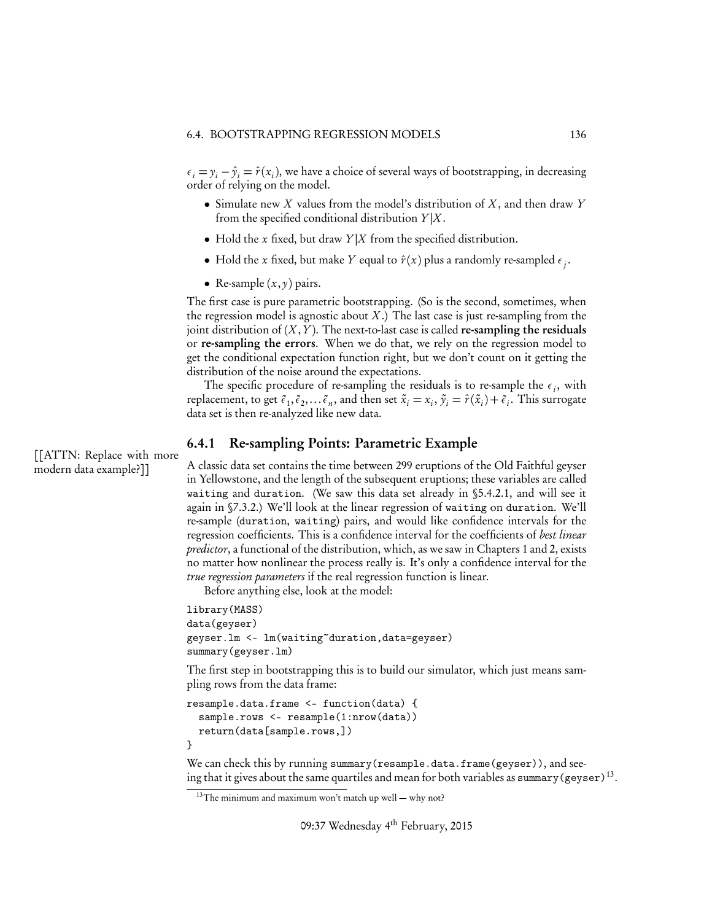$\epsilon_i = y_i - \hat{y}_i = \hat{r}(x_i)$ , we have a choice of several ways of bootstrapping, in decreasing order of relying on the model.

- *•* Simulate new *X* values from the model's distribution of *X* , and then draw *Y* from the specified conditional distribution *Y|X* .
- *•* Hold the *x* fixed, but draw *Y|X* from the specified distribution.
- Hold the *x* fixed, but make *Y* equal to  $\hat{r}(x)$  plus a randomly re-sampled  $\epsilon_i$ .
- Re-sample  $(x, y)$  pairs.

The first case is pure parametric bootstrapping. (So is the second, sometimes, when the regression model is agnostic about  $X$ .) The last case is just re-sampling from the joint distribution of  $(X, Y)$ . The next-to-last case is called re-sampling the residuals or re-sampling the errors. When we do that, we rely on the regression model to get the conditional expectation function right, but we don't count on it getting the distribution of the noise around the expectations.

The specific procedure of re-sampling the residuals is to re-sample the  $\epsilon_i$ , with replacement, to get  $\tilde{\epsilon}_1, \tilde{\epsilon}_2, \ldots, \tilde{\epsilon}_n$ , and then set  $\tilde{x}_i = x_i$ ,  $\tilde{y}_i = \hat{r}(\tilde{x}_i) + \tilde{\epsilon}_i$ . This surrogate data set is then re-analyzed like new data.

#### 6.4.1 Re-sampling Points: Parametric Example

A classic data set contains the time between 299 eruptions of the Old Faithful geyser in Yellowstone, and the length of the subsequent eruptions; these variables are called waiting and duration. (We saw this data set already in §5.4.2.1, and will see it again in §7.3.2.) We'll look at the linear regression of waiting on duration. We'll re-sample (duration, waiting) pairs, and would like confidence intervals for the regression coefficients. This is a confidence interval for the coefficients of *best linear predictor*, a functional of the distribution, which, as we saw in Chapters 1 and 2, exists no matter how nonlinear the process really is. It's only a confidence interval for the *true regression parameters* if the real regression function is linear.

Before anything else, look at the model:

```
library(MASS)
data(geyser)
geyser.lm <- lm(waiting~duration,data=geyser)
summary(geyser.lm)
```
The first step in bootstrapping this is to build our simulator, which just means sampling rows from the data frame:

```
resample.data.frame <- function(data) {
  sample.rows <- resample(1:nrow(data))
  return(data[sample.rows,])
```
}

We can check this by running summary (resample.data.frame(geyser)), and seeing that it gives about the same quartiles and mean for both variables as summary (geyser)<sup>13</sup>.

[[ATTN: Replace with more<br>modern data example?]]

<sup>&</sup>lt;sup>13</sup>The minimum and maximum won't match up well — why not?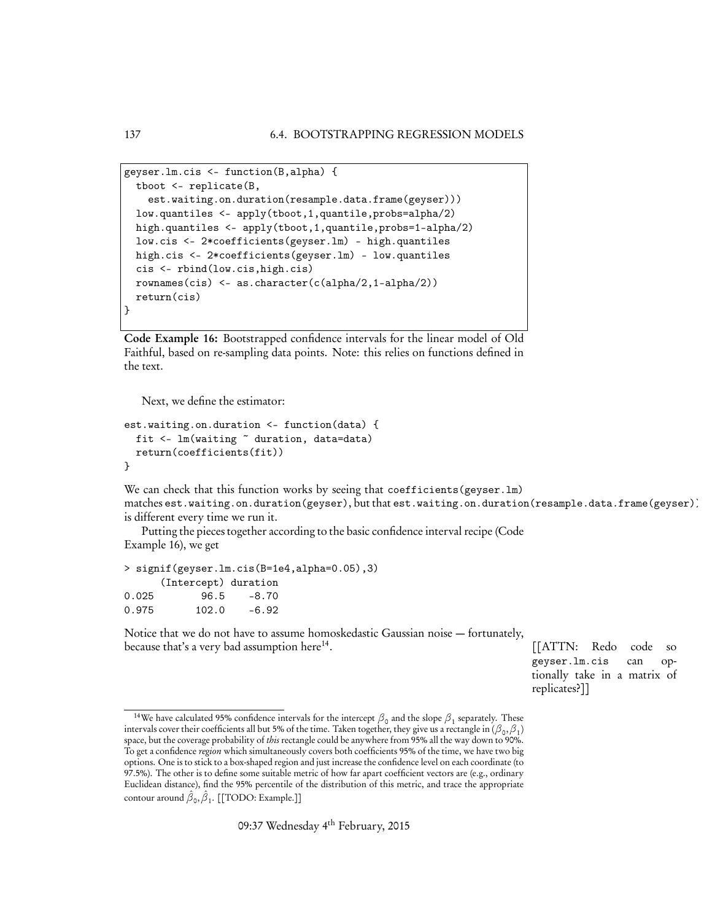```
geyser.lm.cis <- function(B,alpha) {
  tboot <- replicate(B,
    est.waiting.on.duration(resample.data.frame(geyser)))
  low.quantiles <- apply(tboot,1,quantile,probs=alpha/2)
  high.quantiles <- apply(tboot,1,quantile,probs=1-alpha/2)
  low.cis <- 2*coefficients(geyser.lm) - high.quantiles
  high.cis <- 2*coefficients(geyser.lm) - low.quantiles
  cis <- rbind(low.cis,high.cis)
  rownames(cis) <- as.character(c(alpha/2,1-alpha/2))
  return(cis)
}
```
Code Example 16: Bootstrapped confidence intervals for the linear model of Old Faithful, based on re-sampling data points. Note: this relies on functions defined in the text.

Next, we define the estimator:

```
est.waiting.on.duration <- function(data) {
  fit \leq 1m(waiting \sim duration, data=data)
  return(coefficients(fit))
}
```
We can check that this function works by seeing that coefficients (geyser.lm) matches est.waiting.on.duration(geyser), but that est.waiting.on.duration(resample.data.frame(geyser)) is different every time we run it.

Putting the pieces together according to the basic confidence interval recipe (Code Example 16), we get

```
> signif(geyser.lm.cis(B=1e4,alpha=0.05),3)
     (Intercept) duration
0.025 96.5 -8.70
0.975 102.0 -6.92
```
Notice that we do not have to assume homoskedastic Gaussian noise — fortunately, because that's a very bad assumption here<sup>14</sup>.  $\begin{bmatrix} \end{bmatrix}$  [ATTN: Redo code so

geyser.lm.cis can optionally take in a matrix of replicates?]]

<sup>&</sup>lt;sup>14</sup>We have calculated 95% confidence intervals for the intercept  $\beta_0$  and the slope  $\beta_1$  separately. These intervals cover their coefficients all but 5% of the time. Taken together, they give us a rectangle in  $(\beta_0, \beta_1)$ space, but the coverage probability of *this* rectangle could be anywhere from 95% all the way down to 90%. To get a confidence *region* which simultaneously covers both coefficients 95% of the time, we have two big options. One is to stick to a box-shaped region and just increase the confidence level on each coordinate (to 97.5%). The other is to define some suitable metric of how far apart coefficient vectors are (e.g., ordinary Euclidean distance), find the 95% percentile of the distribution of this metric, and trace the appropriate contour around  $\hat{\beta}_0$ ,  $\hat{\beta}_1$ . [[TODO: Example.]]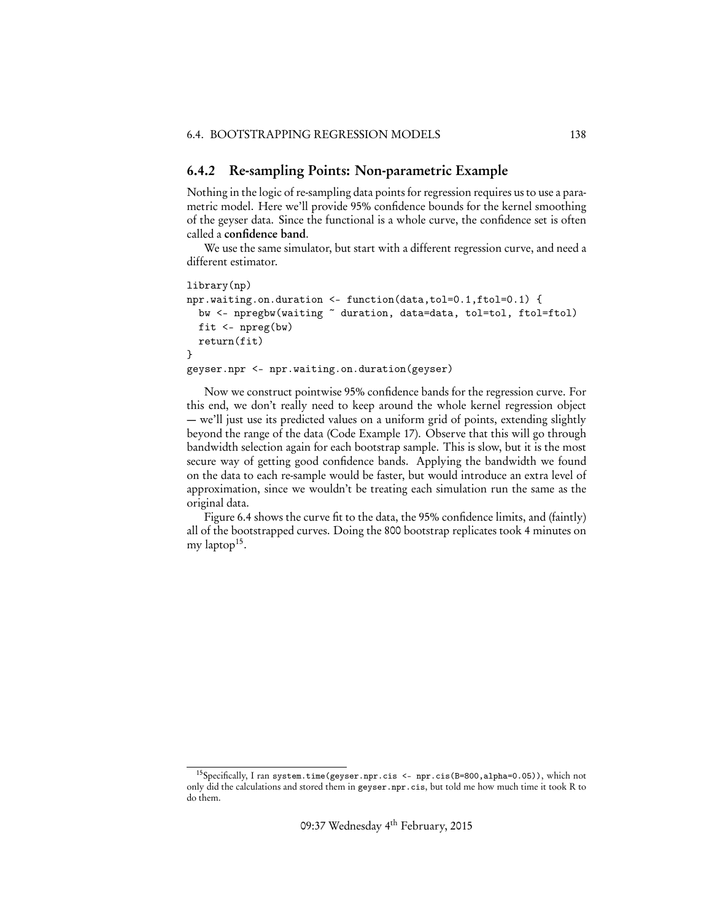#### 6.4.2 Re-sampling Points: Non-parametric Example

Nothing in the logic of re-sampling data points for regression requires us to use a parametric model. Here we'll provide 95% confidence bounds for the kernel smoothing of the geyser data. Since the functional is a whole curve, the confidence set is often called a confidence band.

We use the same simulator, but start with a different regression curve, and need a different estimator.

```
library(np)
npr.waiting.on.duration <- function(data,tol=0.1,ftol=0.1) {
  bw <- npregbw(waiting ~ duration, data=data, tol=tol, ftol=ftol)
  fit <- npreg(bw)
  return(fit)
}
geyser.npr <- npr.waiting.on.duration(geyser)
```
Now we construct pointwise 95% confidence bands for the regression curve. For this end, we don't really need to keep around the whole kernel regression object — we'll just use its predicted values on a uniform grid of points, extending slightly beyond the range of the data (Code Example 17). Observe that this will go through bandwidth selection again for each bootstrap sample. This is slow, but it is the most secure way of getting good confidence bands. Applying the bandwidth we found on the data to each re-sample would be faster, but would introduce an extra level of approximation, since we wouldn't be treating each simulation run the same as the original data.

Figure 6.4 shows the curve fit to the data, the 95% confidence limits, and (faintly) all of the bootstrapped curves. Doing the 800 bootstrap replicates took 4 minutes on my laptop<sup>15</sup>.

<sup>15</sup>Specifically, I ran system.time(geyser.npr.cis <- npr.cis(B=800,alpha=0.05)), which not only did the calculations and stored them in geyser.npr.cis, but told me how much time it took R to do them.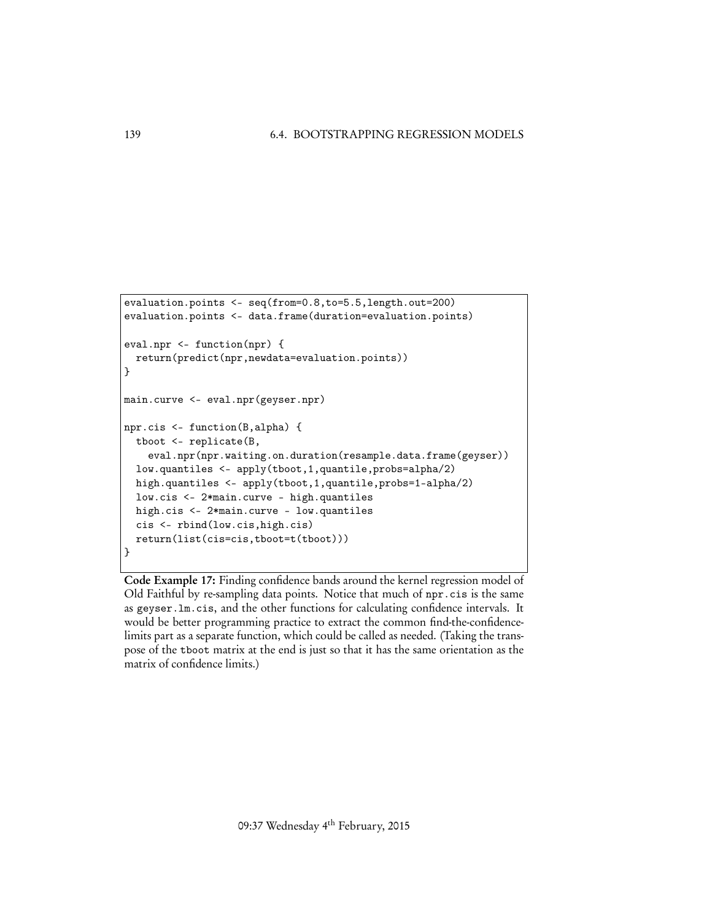```
evaluation.points <- seq(from=0.8,to=5.5,length.out=200)
evaluation.points <- data.frame(duration=evaluation.points)
eval.npr <- function(npr) {
 return(predict(npr,newdata=evaluation.points))
}
main.curve <- eval.npr(geyser.npr)
npr.cis <- function(B,alpha) {
 tboot <- replicate(B,
    eval.npr(npr.waiting.on.duration(resample.data.frame(geyser))
  low.quantiles <- apply(tboot,1,quantile,probs=alpha/2)
 high.quantiles <- apply(tboot,1,quantile,probs=1-alpha/2)
  low.cis <- 2*main.curve - high.quantiles
 high.cis <- 2*main.curve - low.quantiles
 cis <- rbind(low.cis,high.cis)
 return(list(cis=cis,tboot=t(tboot)))
}
```
Code Example 17: Finding confidence bands around the kernel regression model of Old Faithful by re-sampling data points. Notice that much of npr.cis is the same as geyser.lm.cis, and the other functions for calculating confidence intervals. It would be better programming practice to extract the common find-the-confidencelimits part as a separate function, which could be called as needed. (Taking the transpose of the tboot matrix at the end is just so that it has the same orientation as the matrix of confidence limits.)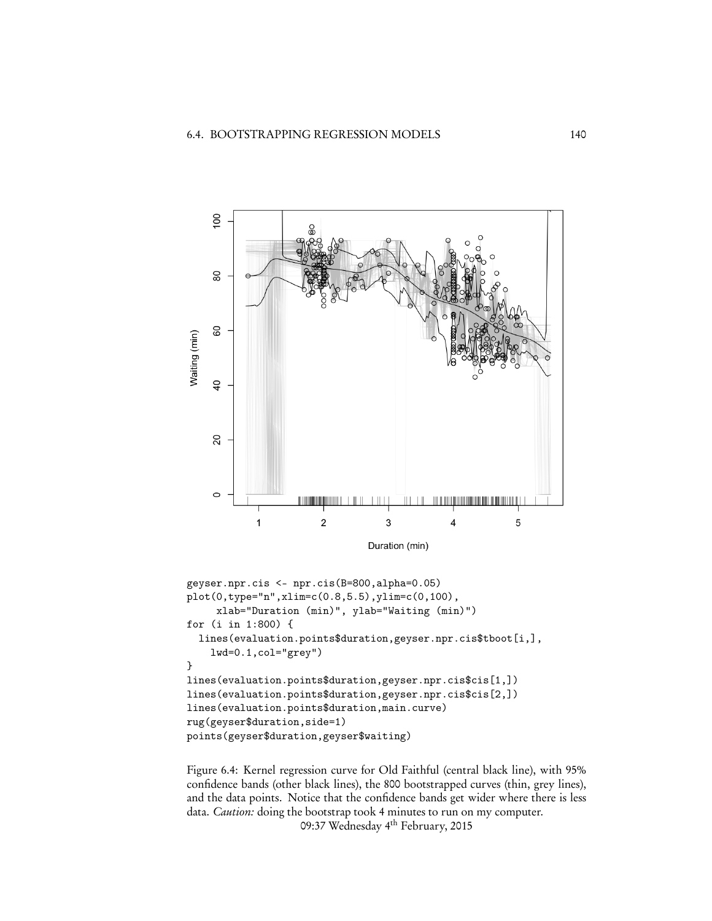

Figure 6.4: Kernel regression curve for Old Faithful (central black line), with 95% confidence bands (other black lines), the 800 bootstrapped curves (thin, grey lines), and the data points. Notice that the confidence bands get wider where there is less data. *Caution:* doing the bootstrap took 4 minutes to run on my computer.

09:37 Wednesday 4th February, 2015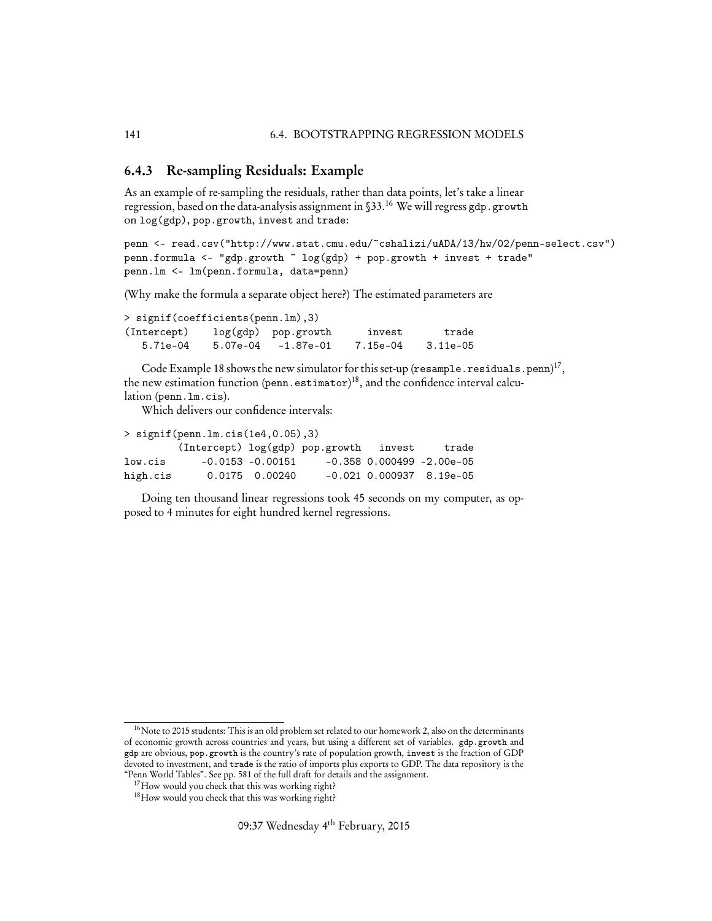#### 141 6.4. BOOTSTRAPPING REGRESSION MODELS

#### 6.4.3 Re-sampling Residuals: Example

As an example of re-sampling the residuals, rather than data points, let's take a linear regression, based on the data-analysis assignment in §33.<sup>16</sup> We will regress gdp.growth on log(gdp), pop.growth, invest and trade:

```
penn <- read.csv("http://www.stat.cmu.edu/~cshalizi/uADA/13/hw/02/penn-select.csv")
penn.formula <- "gdp.growth ~ log(gdp) + pop.growth + invest + trade"
penn.lm <- lm(penn.formula, data=penn)
```
(Why make the formula a separate object here?) The estimated parameters are

| > signif(coefficients(penn.lm),3) |  |                       |          |          |  |  |  |
|-----------------------------------|--|-----------------------|----------|----------|--|--|--|
| (Intercept)                       |  | $log(gdp)$ pop.growth | invest   | trade    |  |  |  |
| 5.71e-04                          |  | $5.07e-04 -1.87e-01$  | 7.15e-04 | 3.11e-05 |  |  |  |

Code Example 18 shows the new simulator for this set-up (resample.residuals.penn) $^{17}$ , the new estimation function (penn.estimator) $^{18}$ , and the confidence interval calculation (penn.lm.cis).

Which delivers our confidence intervals:

| $>$ signif(penn.lm.cis(1e4,0.05),3) |                                        |                     |  |  |                               |  |  |  |
|-------------------------------------|----------------------------------------|---------------------|--|--|-------------------------------|--|--|--|
|                                     | (Intercept) log(gdp) pop.growth invest |                     |  |  | trade                         |  |  |  |
| low.cis                             |                                        | $-0.0153 - 0.00151$ |  |  | $-0.358$ 0.000499 $-2.00e-05$ |  |  |  |
| high.cis                            |                                        | $0.0175$ 0.00240    |  |  | $-0.021$ 0.000937 8.19e-05    |  |  |  |

Doing ten thousand linear regressions took 45 seconds on my computer, as opposed to 4 minutes for eight hundred kernel regressions.

<sup>16</sup>Note to 2015 students: This is an old problem set related to our homework 2, also on the determinants of economic growth across countries and years, but using a different set of variables. gdp.growth and gdp are obvious, pop.growth is the country's rate of population growth, invest is the fraction of GDP devoted to investment, and trade is the ratio of imports plus exports to GDP. The data repository is the "Penn World Tables". See pp. 581 of the full draft for details and the assignment.

<sup>&</sup>lt;sup>17</sup>How would you check that this was working right?

<sup>18</sup>How would you check that this was working right?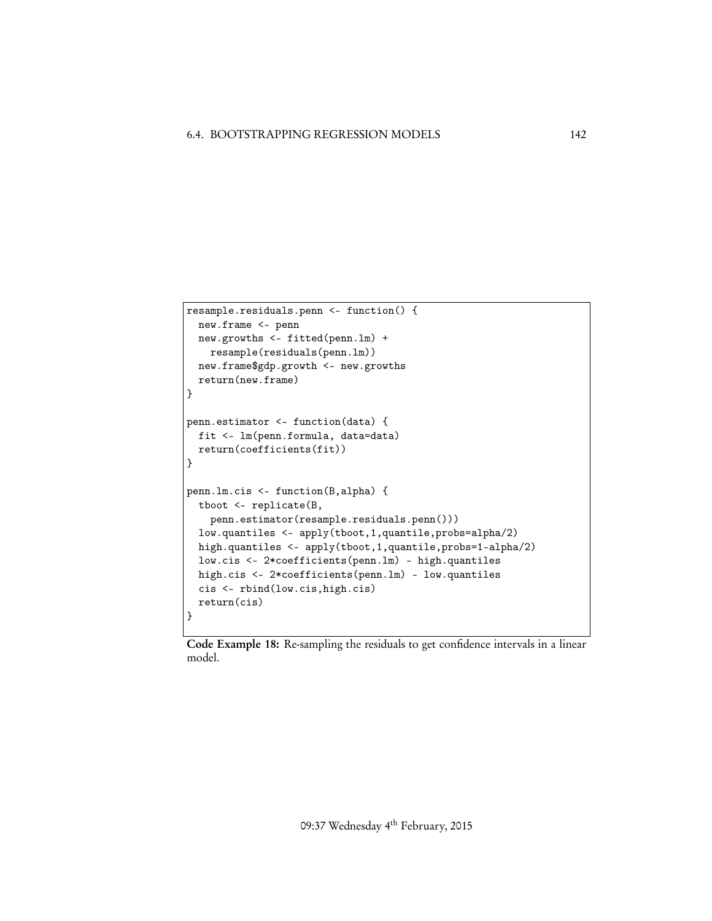```
resample.residuals.penn <- function() {
  new.frame <- penn
 new.growths <- fitted(penn.lm) +
  resample(residuals(penn.lm))
 new.frame$gdp.growth <- new.growths
  return(new.frame)
}
penn.estimator <- function(data) {
  fit <- lm(penn.formula, data=data)
  return(coefficients(fit))
}
penn.lm.cis <- function(B,alpha) {
 tboot <- replicate(B,
    penn.estimator(resample.residuals.penn()))
  low.quantiles <- apply(tboot,1,quantile,probs=alpha/2)
  high.quantiles <- apply(tboot,1,quantile,probs=1-alpha/2)
  low.cis <- 2*coefficients(penn.lm) - high.quantiles
 high.cis <- 2*coefficients(penn.lm) - low.quantiles
 cis <- rbind(low.cis,high.cis)
  return(cis)
}
```
Code Example 18: Re-sampling the residuals to get confidence intervals in a linear model.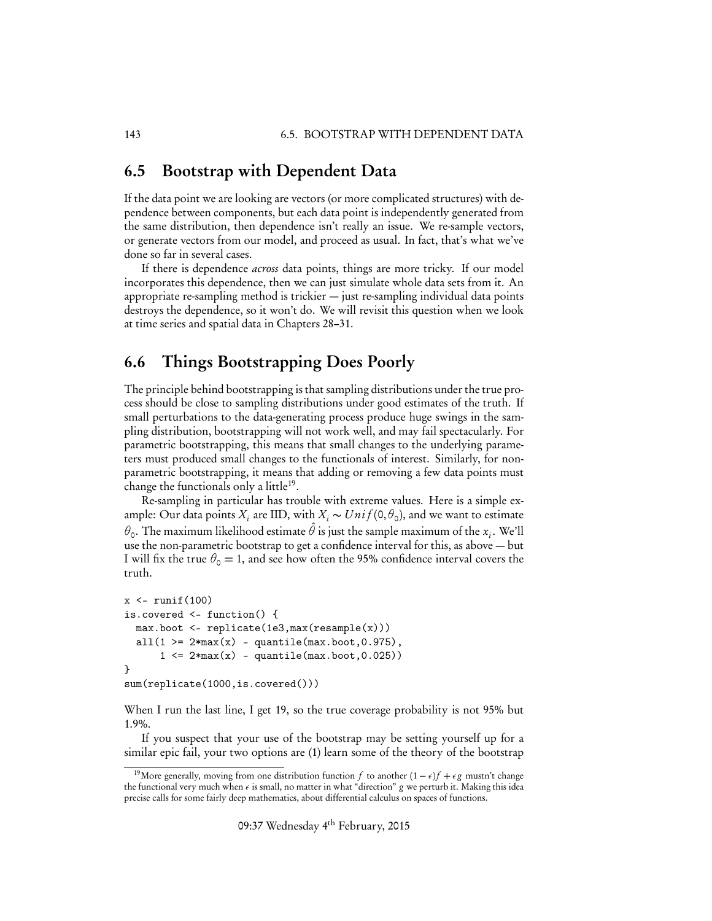## 6.5 Bootstrap with Dependent Data

If the data point we are looking are vectors (or more complicated structures) with dependence between components, but each data point is independently generated from the same distribution, then dependence isn't really an issue. We re-sample vectors, or generate vectors from our model, and proceed as usual. In fact, that's what we've done so far in several cases.

If there is dependence *across* data points, things are more tricky. If our model incorporates this dependence, then we can just simulate whole data sets from it. An appropriate re-sampling method is trickier — just re-sampling individual data points destroys the dependence, so it won't do. We will revisit this question when we look at time series and spatial data in Chapters 28–31.

## 6.6 Things Bootstrapping Does Poorly

The principle behind bootstrapping is that sampling distributions under the true process should be close to sampling distributions under good estimates of the truth. If small perturbations to the data-generating process produce huge swings in the sampling distribution, bootstrapping will not work well, and may fail spectacularly. For parametric bootstrapping, this means that small changes to the underlying parameters must produced small changes to the functionals of interest. Similarly, for nonparametric bootstrapping, it means that adding or removing a few data points must change the functionals only a little<sup>19</sup>.

Re-sampling in particular has trouble with extreme values. Here is a simple example: Our data points  $X_i$  are IID, with  $X_i \sim Unif(0, \theta_0)$ , and we want to estimate  $\theta_{\text{o}}$ . The maximum likelihood estimate  $\hat{\theta}$  is just the sample maximum of the  $x_i$ . We'll use the non-parametric bootstrap to get a confidence interval for this, as above — but I will fix the true  $\theta_0 = 1$ , and see how often the 95% confidence interval covers the truth.

```
x \leftarrow runif(100)is.covered <- function() {
  max.boot <- replicate(1e3,max(resample(x)))
  all(1 \geq 2*max(x) - quantile(maxset,0.975),
      1 \leq 2*max(x) - quantile(maxset, 0.025)}
sum(replicate(1000,is.covered()))
```
When I run the last line, I get 19, so the true coverage probability is not 95% but 1.9%.

If you suspect that your use of the bootstrap may be setting yourself up for a similar epic fail, your two options are (1) learn some of the theory of the bootstrap

<sup>&</sup>lt;sup>19</sup>More generally, moving from one distribution function *f* to another  $(1 - \epsilon)f + \epsilon g$  mustn't change the functional very much when  $\epsilon$  is small, no matter in what "direction"  $g$  we perturb it. Making this idea precise calls for some fairly deep mathematics, about differential calculus on spaces of functions.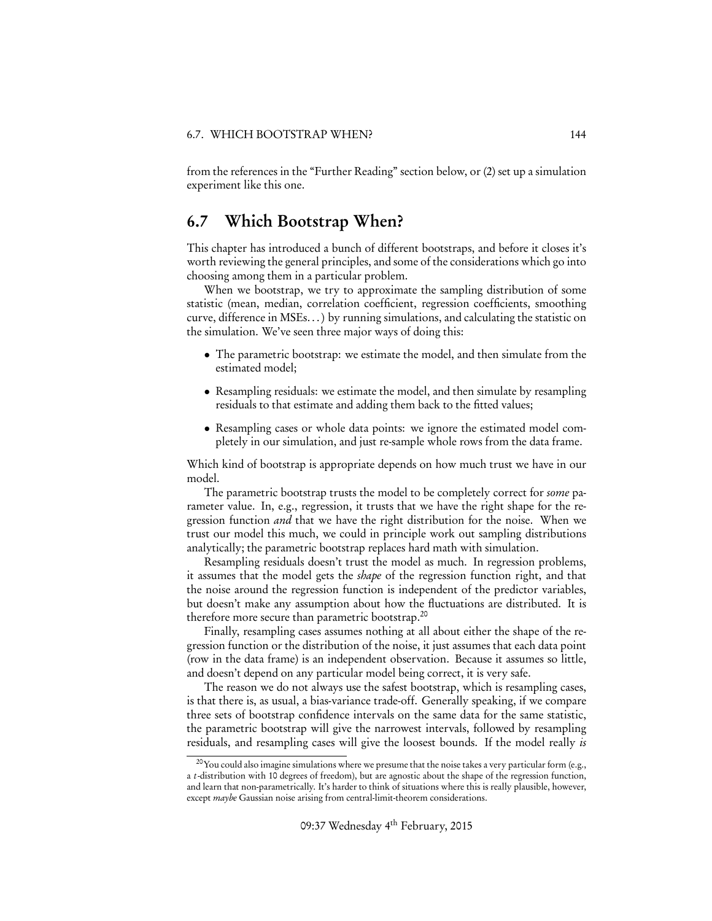from the references in the "Further Reading" section below, or (2) set up a simulation experiment like this one.

### 6.7 Which Bootstrap When?

This chapter has introduced a bunch of different bootstraps, and before it closes it's worth reviewing the general principles, and some of the considerations which go into choosing among them in a particular problem.

When we bootstrap, we try to approximate the sampling distribution of some statistic (mean, median, correlation coefficient, regression coefficients, smoothing curve, difference in MSEs. . .) by running simulations, and calculating the statistic on the simulation. We've seen three major ways of doing this:

- *•* The parametric bootstrap: we estimate the model, and then simulate from the estimated model;
- *•* Resampling residuals: we estimate the model, and then simulate by resampling residuals to that estimate and adding them back to the fitted values;
- *•* Resampling cases or whole data points: we ignore the estimated model completely in our simulation, and just re-sample whole rows from the data frame.

Which kind of bootstrap is appropriate depends on how much trust we have in our model.

The parametric bootstrap trusts the model to be completely correct for *some* parameter value. In, e.g., regression, it trusts that we have the right shape for the regression function *and* that we have the right distribution for the noise. When we trust our model this much, we could in principle work out sampling distributions analytically; the parametric bootstrap replaces hard math with simulation.

Resampling residuals doesn't trust the model as much. In regression problems, it assumes that the model gets the *shape* of the regression function right, and that the noise around the regression function is independent of the predictor variables, but doesn't make any assumption about how the fluctuations are distributed. It is therefore more secure than parametric bootstrap.<sup>20</sup>

Finally, resampling cases assumes nothing at all about either the shape of the regression function or the distribution of the noise, it just assumes that each data point (row in the data frame) is an independent observation. Because it assumes so little, and doesn't depend on any particular model being correct, it is very safe.

The reason we do not always use the safest bootstrap, which is resampling cases, is that there is, as usual, a bias-variance trade-off. Generally speaking, if we compare three sets of bootstrap confidence intervals on the same data for the same statistic, the parametric bootstrap will give the narrowest intervals, followed by resampling residuals, and resampling cases will give the loosest bounds. If the model really *is*

<sup>&</sup>lt;sup>20</sup>You could also imagine simulations where we presume that the noise takes a very particular form (e.g., a *t*-distribution with 10 degrees of freedom), but are agnostic about the shape of the regression function, and learn that non-parametrically. It's harder to think of situations where this is really plausible, however, except *maybe* Gaussian noise arising from central-limit-theorem considerations.